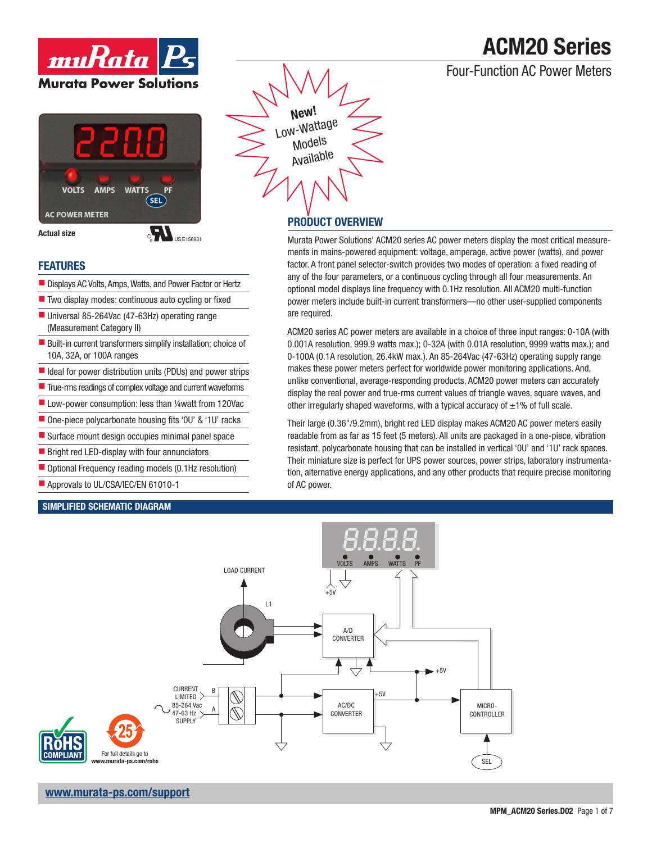### Four-Function AC Power Meters

# $m$ u $R$ ata $|P|$ **Murata Power Solutions**



**Actual size** 

 $\bullet$  US E156931

### **FEATURES**

- Displays AC Volts, Amps, Watts, and Power Factor or Hertz
- $\blacksquare$  Two display modes: continuous auto cycling or fixed
- Universal 85-264Vac (47-63Hz) operating range (Measurement Category II)
- $\blacksquare$  Built-in current transformers simplify installation; choice of 10A, 32A, or 100A ranges
- $\blacksquare$  Ideal for power distribution units (PDUs) and power strips
- $\blacksquare$  True-rms readings of complex voltage and current waveforms
- $\blacksquare$  Low-power consumption: less than ¼watt from 120Vac
- $\blacksquare$  One-piece polycarbonate housing fits '0U' & '1U' racks
- $\blacksquare$  Surface mount design occupies minimal panel space
- $\blacksquare$  Bright red LED-display with four annunciators
- Optional Frequency reading models (0.1Hz resolution)
- Approvals to UL/CSA/IEC/EN 61010-1

### SIMPLIFIED SCHEMATIC DIAGRAM

**New** Low-Wattage Models Available

### PRODUCT OVERVIEW

Murata Power Solutions' ACM20 series AC power meters display the most critical measurements in mains-powered equipment: voltage, amperage, active power (watts), and power factor. A front panel selector-switch provides two modes of operation: a fixed reading of any of the four parameters, or a continuous cycling through all four measurements. An optional model displays line frequency with 0.1Hz resolution. All ACM20 multi-function power meters include built-in current transformers—no other user-supplied components are required.

ACM20 series AC power meters are available in a choice of three input ranges: 0-10A (with 0.001A resolution, 999.9 watts max.); 0-32A (with 0.01A resolution, 9999 watts max.); and 0-100A (0.1A resolution, 26.4kW max.). An 85-264Vac (47-63Hz) operating supply range makes these power meters perfect for worldwide power monitoring applications. And, unlike conventional, average-responding products, ACM20 power meters can accurately display the real power and true-rms current values of triangle waves, square waves, and other irregularly shaped waveforms, with a typical accuracy of  $\pm 1\%$  of full scale.

Their large (0.36"/9.2mm), bright red LED display makes ACM20 AC power meters easily readable from as far as 15 feet (5 meters). All units are packaged in a one-piece, vibration resistant, polycarbonate housing that can be installed in vertical '0U' and '1U' rack spaces. Their miniature size is perfect for UPS power sources, power strips, laboratory instrumentation, alternative energy applications, and any other products that require precise monitoring of AC power.

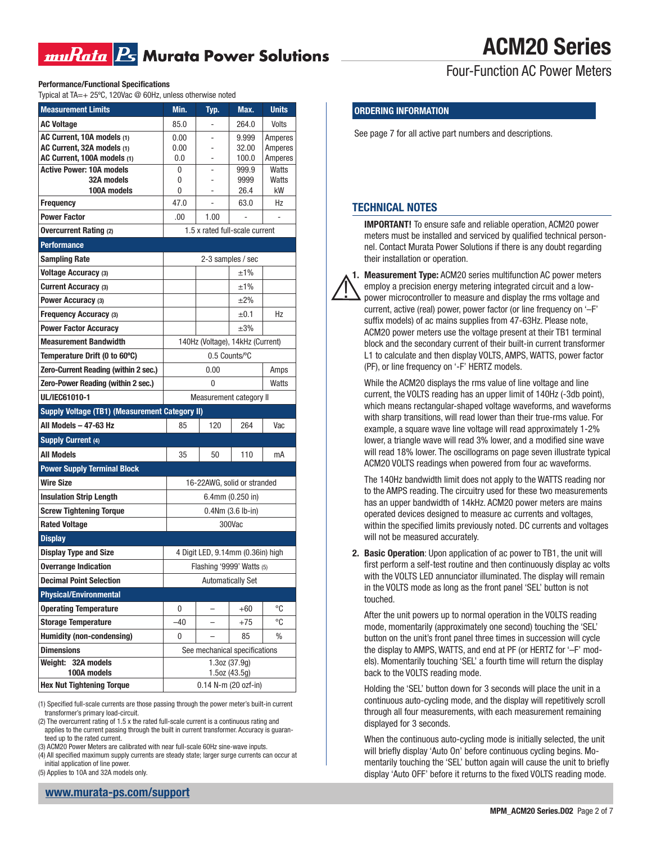### muRata Rs Murata Power Solutions

## ACM20 Series

Four-Function AC Power Meters

Performance/Functional Specifications

Typical at  $TA = + 25\degree$ C, 120Vac @ 60Hz, unless otherwise noted

| <b>Measurement Limits</b>                             | Min.                           | Typ.                              | Max.                          | <b>Units</b> |  |
|-------------------------------------------------------|--------------------------------|-----------------------------------|-------------------------------|--------------|--|
| <b>AC Voltage</b>                                     | 85.0                           |                                   | 264.0                         | Volts        |  |
| AC Current, 10A models (1)                            | 0.00                           |                                   | 9.999                         | Amperes      |  |
| AC Current, 32A models (1)                            | 0.00                           |                                   | 32.00                         | Amperes      |  |
| AC Current, 100A models (1)                           | 0.0                            | ۰                                 | 100.0                         | Amperes      |  |
| <b>Active Power: 10A models</b>                       | 0                              |                                   | 999.9                         | Watts        |  |
| 32A models<br>100A models                             | 0<br>0                         |                                   | 9999<br>26.4                  | Watts<br>kW  |  |
| <b>Frequency</b>                                      | 47.0                           | L,                                | 63.0                          | Hz           |  |
| <b>Power Factor</b>                                   | .00                            | 1.00                              |                               |              |  |
| <b>Overcurrent Rating (2)</b>                         | 1.5 x rated full-scale current |                                   |                               |              |  |
| <b>Performance</b>                                    |                                |                                   |                               |              |  |
| <b>Sampling Rate</b>                                  |                                | 2-3 samples / sec                 |                               |              |  |
| Voltage Accuracy (3)                                  |                                |                                   | ±1%                           |              |  |
| <b>Current Accuracy (3)</b>                           |                                |                                   | ±1%                           |              |  |
| Power Accuracy (3)                                    |                                |                                   | $±2\%$                        |              |  |
| Frequency Accuracy (3)                                |                                |                                   | $\pm 0.1$                     | Hz           |  |
| <b>Power Factor Accuracy</b>                          |                                |                                   | $\pm 3\%$                     |              |  |
| <b>Measurement Bandwidth</b>                          |                                | 140Hz (Voltage), 14kHz (Current)  |                               |              |  |
| Temperature Drift (0 to 60°C)                         | 0.5 Counts/°C                  |                                   |                               |              |  |
| Zero-Current Reading (within 2 sec.)                  | 0.00<br>Amps                   |                                   |                               |              |  |
| Zero-Power Reading (within 2 sec.)                    | 0<br>Watts                     |                                   |                               |              |  |
| UL/IEC61010-1                                         | Measurement category II        |                                   |                               |              |  |
| <b>Supply Voltage (TB1) (Measurement Category II)</b> |                                |                                   |                               |              |  |
| All Models – 47-63 Hz                                 | 85                             | 120                               | 264                           | Vac          |  |
| <b>Supply Current (4)</b>                             |                                |                                   |                               |              |  |
| <b>All Models</b>                                     | 35                             | 50                                | 110                           | mA           |  |
| <b>Power Supply Terminal Block</b>                    |                                |                                   |                               |              |  |
| <b>Wire Size</b>                                      | 16-22AWG, solid or stranded    |                                   |                               |              |  |
| <b>Insulation Strip Length</b>                        | 6.4mm (0.250 in)               |                                   |                               |              |  |
| <b>Screw Tightening Torque</b>                        |                                |                                   |                               |              |  |
| <b>Rated Voltage</b>                                  |                                |                                   | $0.4Nm(3.6 lb-in)$            |              |  |
|                                                       |                                |                                   | 300Vac                        |              |  |
| <b>Display</b>                                        |                                |                                   |                               |              |  |
| <b>Display Type and Size</b>                          |                                | 4 Digit LED, 9.14mm (0.36in) high |                               |              |  |
| <b>Overrange Indication</b>                           |                                | Flashing '9999' Watts (5)         |                               |              |  |
| <b>Decimal Point Selection</b>                        |                                |                                   | <b>Automatically Set</b>      |              |  |
| <b>Physical/Environmental</b>                         |                                |                                   |                               |              |  |
| <b>Operating Temperature</b>                          | 0                              | -                                 | $+60$                         | °C           |  |
| <b>Storage Temperature</b>                            | $-40$                          | $\overline{\phantom{0}}$          | $+75$                         | °C           |  |
| <b>Humidity (non-condensing)</b>                      | 0                              |                                   | 85                            | %            |  |
| <b>Dimensions</b>                                     |                                | See mechanical specifications     |                               |              |  |
| Weight: 32A models<br>100A models                     |                                |                                   | 1.3oz(37.9g)<br>1.5oz (43.5g) |              |  |

(1) Specified full-scale currents are those passing through the power meter's built-in current transformer's primary load-circuit.

(2) The overcurrent rating of 1.5 x the rated full-scale current is a continuous rating and applies to the current passing through the built in current transformer. Accuracy is guaranteed up to the rated current.

(3) ACM20 Power Meters are calibrated with near full-scale 60Hz sine-wave inputs.

(4) All specified maximum supply currents are steady state; larger surge currents can occur at initial application of line power.

(5) Applies to 10A and 32A models only.

#### ORDERING INFORMATION

See page 7 for all active part numbers and descriptions.

#### TECHNICAL NOTES

IMPORTANT! To ensure safe and reliable operation, ACM20 power meters must be installed and serviced by qualified technical personnel. Contact Murata Power Solutions if there is any doubt regarding their installation or operation.

1. Measurement Type: ACM20 series multifunction AC power meters employ a precision energy metering integrated circuit and a lowpower microcontroller to measure and display the rms voltage and current, active (real) power, power factor (or line frequency on '–F' suffix models) of ac mains supplies from 47-63Hz. Please note, ACM20 power meters use the voltage present at their TB1 terminal block and the secondary current of their built-in current transformer L1 to calculate and then display VOLTS, AMPS, WATTS, power factor (PF), or line frequency on '-F' HERTZ models. <u>1</u>

While the ACM20 displays the rms value of line voltage and line current, the VOLTS reading has an upper limit of 140Hz (-3db point), which means rectangular-shaped voltage waveforms, and waveforms with sharp transitions, will read lower than their true-rms value. For example, a square wave line voltage will read approximately 1-2% lower, a triangle wave will read 3% lower, and a modified sine wave will read 18% lower. The oscillograms on page seven illustrate typical ACM20 VOLTS readings when powered from four ac waveforms.

The 140Hz bandwidth limit does not apply to the WATTS reading nor to the AMPS reading. The circuitry used for these two measurements has an upper bandwidth of 14kHz. ACM20 power meters are mains operated devices designed to measure ac currents and voltages, within the specified limits previously noted. DC currents and voltages will not be measured accurately.

2. Basic Operation: Upon application of ac power to TB1, the unit will first perform a self-test routine and then continuously display ac volts with the VOLTS LED annunciator illuminated. The display will remain in the VOLTS mode as long as the front panel 'SEL' button is not touched.

After the unit powers up to normal operation in the VOLTS reading mode, momentarily (approximately one second) touching the 'SEL' button on the unit's front panel three times in succession will cycle the display to AMPS, WATTS, and end at PF (or HERTZ for '–F' models). Momentarily touching 'SEL' a fourth time will return the display back to the VOLTS reading mode.

Holding the 'SEL' button down for 3 seconds will place the unit in a continuous auto-cycling mode, and the display will repetitively scroll through all four measurements, with each measurement remaining displayed for 3 seconds.

When the continuous auto-cycling mode is initially selected, the unit will briefly display 'Auto On' before continuous cycling begins. Momentarily touching the 'SEL' button again will cause the unit to briefly display 'Auto OFF' before it returns to the fixed VOLTS reading mode.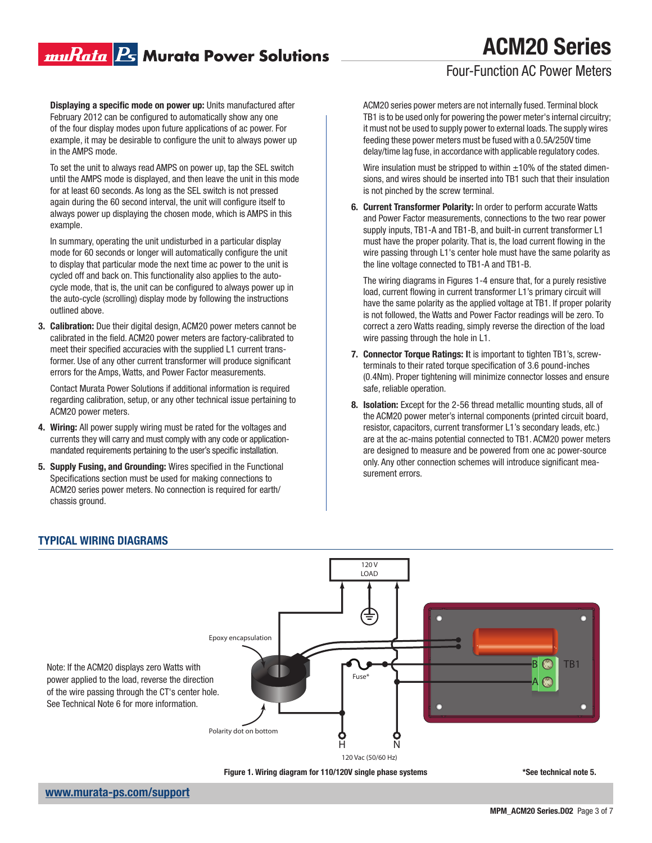### muRata <mark>Ps</mark> Murata Power Solutions

# ACM20 Series

### Four-Function AC Power Meters

Displaying a specific mode on power up: Units manufactured after February 2012 can be configured to automatically show any one of the four display modes upon future applications of ac power. For example, it may be desirable to configure the unit to always power up in the AMPS mode.

To set the unit to always read AMPS on power up, tap the SEL switch until the AMPS mode is displayed, and then leave the unit in this mode for at least 60 seconds. As long as the SEL switch is not pressed again during the 60 second interval, the unit will configure itself to always power up displaying the chosen mode, which is AMPS in this example.

In summary, operating the unit undisturbed in a particular display mode for 60 seconds or longer will automatically configure the unit to display that particular mode the next time ac power to the unit is cycled off and back on. This functionality also applies to the autocycle mode, that is, the unit can be configured to always power up in the auto-cycle (scrolling) display mode by following the instructions outlined above.

3. Calibration: Due their digital design, ACM20 power meters cannot be calibrated in the field. ACM20 power meters are factory-calibrated to meet their specified accuracies with the supplied L1 current transformer. Use of any other current transformer will produce significant errors for the Amps, Watts, and Power Factor measurements.

Contact Murata Power Solutions if additional information is required regarding calibration, setup, or any other technical issue pertaining to ACM20 power meters.

- 4. Wiring: All power supply wiring must be rated for the voltages and currents they will carry and must comply with any code or applicationmandated requirements pertaining to the user's specific installation.
- 5. Supply Fusing, and Grounding: Wires specified in the Functional Specifications section must be used for making connections to ACM20 series power meters. No connection is required for earth/ chassis ground.

ACM20 series power meters are not internally fused. Terminal block TB1 is to be used only for powering the power meter's internal circuitry; it must not be used to supply power to external loads. The supply wires feeding these power meters must be fused with a 0.5A/250V time delay/time lag fuse, in accordance with applicable regulatory codes.

Wire insulation must be stripped to within  $\pm 10\%$  of the stated dimensions, and wires should be inserted into TB1 such that their insulation is not pinched by the screw terminal.

6. Current Transformer Polarity: In order to perform accurate Watts and Power Factor measurements, connections to the two rear power supply inputs, TB1-A and TB1-B, and built-in current transformer L1 must have the proper polarity. That is, the load current flowing in the wire passing through L1's center hole must have the same polarity as the line voltage connected to TB1-A and TB1-B.

The wiring diagrams in Figures 1-4 ensure that, for a purely resistive load, current flowing in current transformer L1's primary circuit will have the same polarity as the applied voltage at TB1. If proper polarity is not followed, the Watts and Power Factor readings will be zero. To correct a zero Watts reading, simply reverse the direction of the load wire passing through the hole in L1.

- 7. Connector Torque Ratings: It is important to tighten TB1's, screwterminals to their rated torque specification of 3.6 pound-inches (0.4Nm). Proper tightening will minimize connector losses and ensure safe, reliable operation.
- 8. Isolation: Except for the 2-56 thread metallic mounting studs, all of the ACM20 power meter's internal components (printed circuit board, resistor, capacitors, current transformer L1's secondary leads, etc.) are at the ac-mains potential connected to TB1. ACM20 power meters are designed to measure and be powered from one ac power-source only. Any other connection schemes will introduce significant measurement errors.



Figure 1. Wiring diagram for 110/120V single phase systems

\*See technical note 5.

### TYPICAL WIRING DIAGRAMS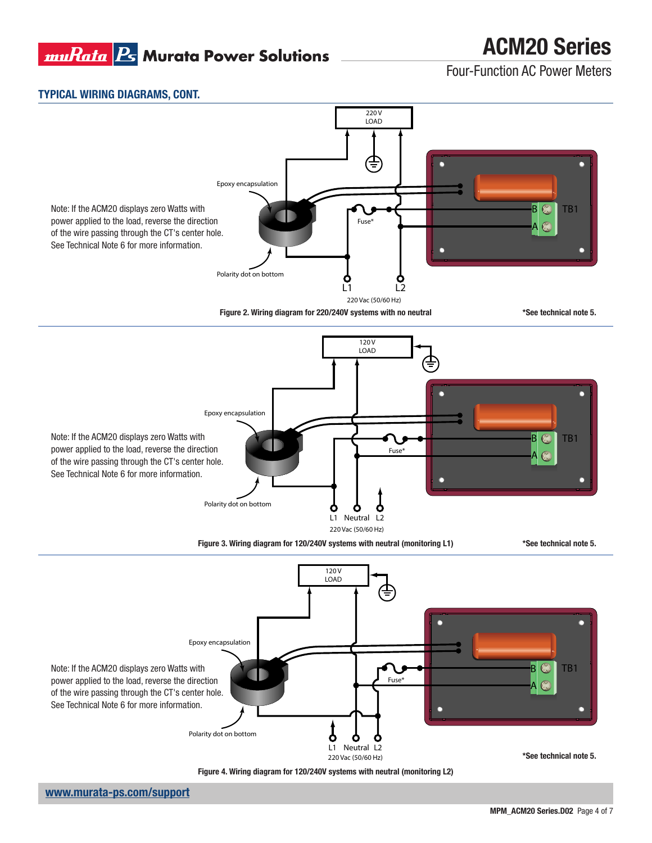### muRata B Murata Power Solutions

## ACM20 Series

Four-Function AC Power Meters

### TYPICAL WIRING DIAGRAMS, CONT.

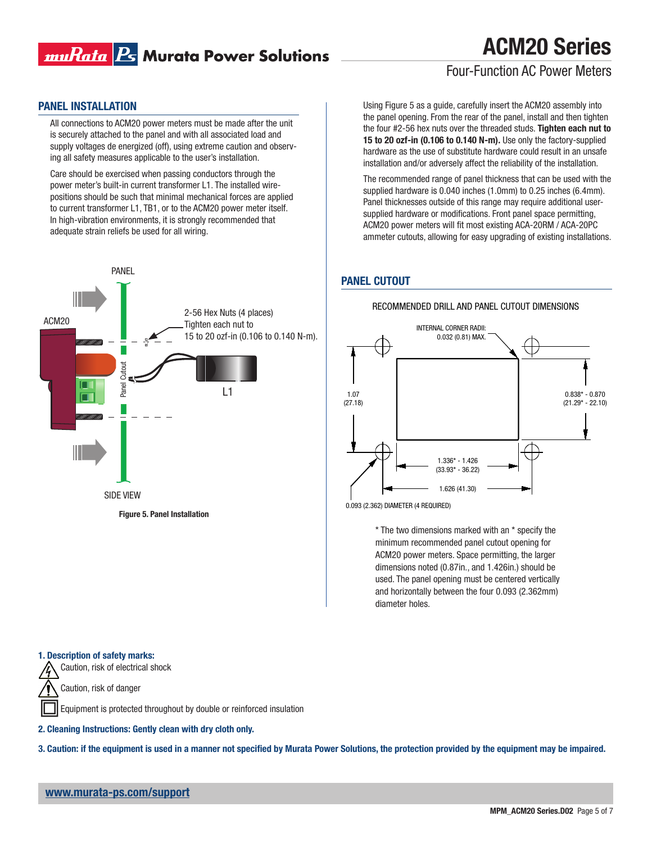

### Four-Function AC Power Meters

#### PANEL INSTALLATION

All connections to ACM20 power meters must be made after the unit is securely attached to the panel and with all associated load and supply voltages de energized (off), using extreme caution and observing all safety measures applicable to the user's installation.

Care should be exercised when passing conductors through the power meter's built-in current transformer L1. The installed wirepositions should be such that minimal mechanical forces are applied to current transformer L1, TB1, or to the ACM20 power meter itself. In high-vibration environments, it is strongly recommended that adequate strain reliefs be used for all wiring.



Using Figure 5 as a guide, carefully insert the ACM20 assembly into the panel opening. From the rear of the panel, install and then tighten the four #2-56 hex nuts over the threaded studs. Tighten each nut to 15 to 20 ozf-in (0.106 to 0.140 N-m). Use only the factory-supplied hardware as the use of substitute hardware could result in an unsafe installation and/or adversely affect the reliability of the installation.

The recommended range of panel thickness that can be used with the supplied hardware is 0.040 inches (1.0mm) to 0.25 inches (6.4mm). Panel thicknesses outside of this range may require additional usersupplied hardware or modifications. Front panel space permitting, ACM20 power meters will fit most existing ACA-20RM / ACA-20PC ammeter cutouts, allowing for easy upgrading of existing installations.

#### PANEL CUTOUT



RECOMMENDED DRILL AND PANEL CUTOUT DIMENSIONS

0.093 (2.362) DIAMETER (4 REQUIRED)

\* The two dimensions marked with an \* specify the minimum recommended panel cutout opening for ACM20 power meters. Space permitting, the larger dimensions noted (0.87in., and 1.426in.) should be used. The panel opening must be centered vertically and horizontally between the four 0.093 (2.362mm) diameter holes.

#### 1. Description of safety marks:

Caution, risk of electrical shock

Caution, risk of danger

Equipment is protected throughout by double or reinforced insulation

2. Cleaning Instructions: Gently clean with dry cloth only.

3. Caution: if the equipment is used in a manner not specified by Murata Power Solutions, the protection provided by the equipment may be impaired.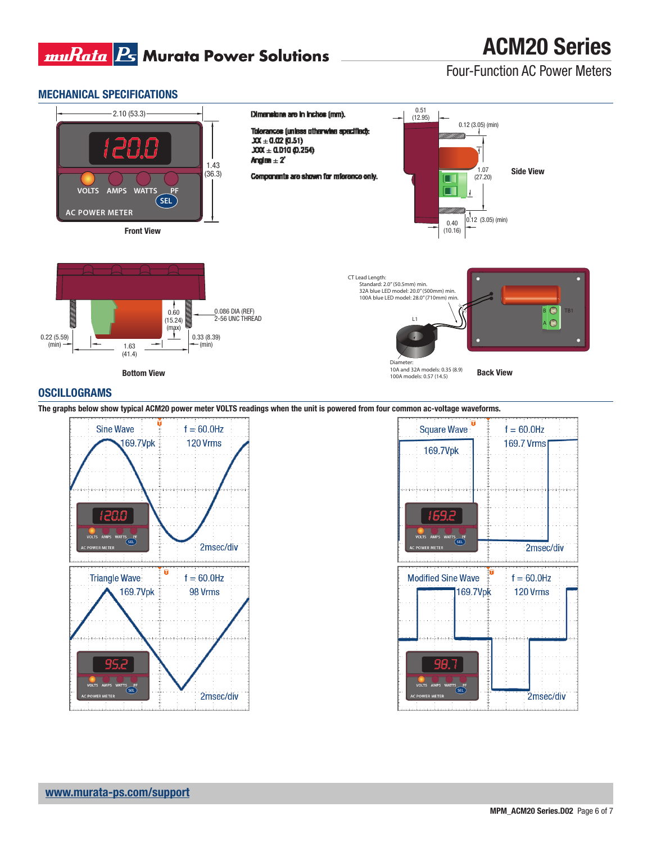

Four-Function AC Power Meters

#### MECHANICAL SPECIFICATIONS



#### **OSCILLOGRAMS**

The graphs below show typical ACM20 power meter VOLTS readings when the unit is powered from four common ac-voltage waveforms.



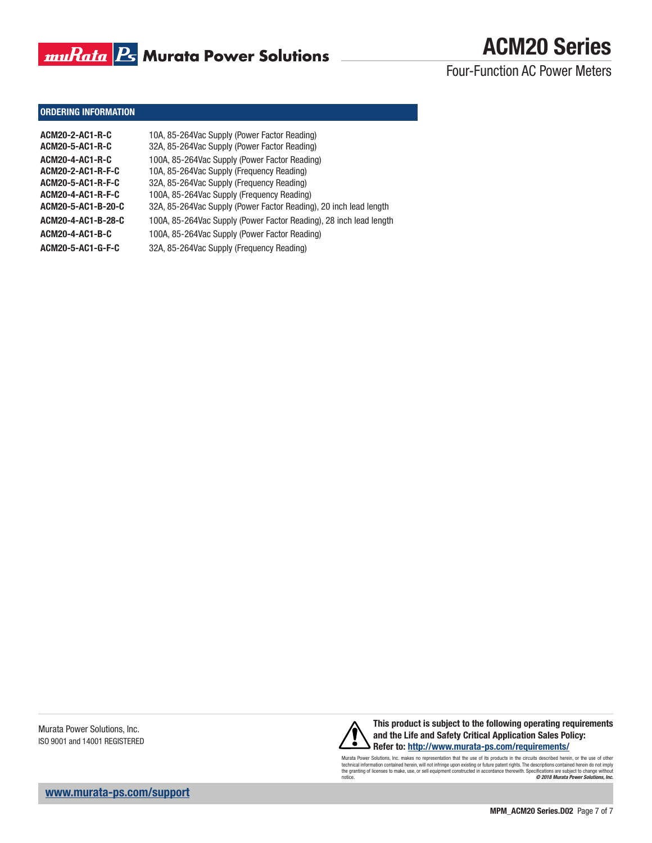

Four-Function AC Power Meters

#### ORDERING INFORMATION

| ACM20-2-AC1-R-C    | 10A, 85-264Vac Supply (Power Factor Reading)                       |
|--------------------|--------------------------------------------------------------------|
| ACM20-5-AC1-R-C    | 32A, 85-264Vac Supply (Power Factor Reading)                       |
| ACM20-4-AC1-R-C    | 100A, 85-264Vac Supply (Power Factor Reading)                      |
| ACM20-2-AC1-R-F-C  | 10A, 85-264Vac Supply (Frequency Reading)                          |
| ACM20-5-AC1-R-F-C  | 32A, 85-264Vac Supply (Frequency Reading)                          |
| ACM20-4-AC1-R-F-C  | 100A, 85-264Vac Supply (Frequency Reading)                         |
| ACM20-5-AC1-B-20-C | 32A, 85-264Vac Supply (Power Factor Reading), 20 inch lead length  |
| ACM20-4-AC1-B-28-C | 100A, 85-264Vac Supply (Power Factor Reading), 28 inch lead length |
| ACM20-4-AC1-B-C    | 100A, 85-264Vac Supply (Power Factor Reading)                      |
| ACM20-5-AC1-G-F-C  | 32A, 85-264Vac Supply (Frequency Reading)                          |
|                    |                                                                    |

Murata Power Solutions, Inc. ISO 9001 and 14001 REGISTERED



This product is subject to the following operating requirements and the Life and Safety Critical Application Sales Policy: Refer to: http://www.murata-ps.com/requirements/

Murata Power Solutions, Inc. makes no representation that the use of its products in the circuits described herein, or the use of other<br>technical information contained herein, will not infringe upon existing or future pate